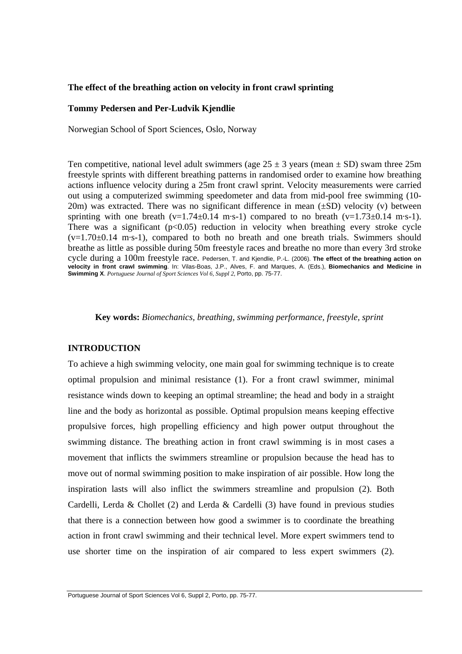### **The effect of the breathing action on velocity in front crawl sprinting**

#### **Tommy Pedersen and Per-Ludvik Kjendlie**

Norwegian School of Sport Sciences, Oslo, Norway

Ten competitive, national level adult swimmers (age  $25 \pm 3$  years (mean  $\pm$  SD) swam three 25m freestyle sprints with different breathing patterns in randomised order to examine how breathing actions influence velocity during a 25m front crawl sprint. Velocity measurements were carried out using a computerized swimming speedometer and data from mid-pool free swimming (10- 20m) was extracted. There was no significant difference in mean  $(\pm SD)$  velocity (v) between sprinting with one breath  $(v=1.74\pm0.14 \text{ m}\cdot\text{s}-1)$  compared to no breath  $(v=1.73\pm0.14 \text{ m}\cdot\text{s}-1)$ . There was a significant  $(p<0.05)$  reduction in velocity when breathing every stroke cycle  $(v=1.70\pm0.14 \text{ m}\cdot\text{s}-1)$ , compared to both no breath and one breath trials. Swimmers should breathe as little as possible during 50m freestyle races and breathe no more than every 3rd stroke cycle during a 100m freestyle race. Pedersen, T. and Kjendlie, P.-L. (2006). **The effect of the breathing action on velocity in front crawl swimming**. In: Vilas-Boas, J.P., Alves, F. and Marques, A. (Eds.), **Biomechanics and Medicine in Swimming X**. *Portuguese Journal of Sport Sciences Vol 6, Suppl 2,* Porto, pp. 75-77.

**Key words:** *Biomechanics, breathing, swimming performance, freestyle, sprint* 

# **INTRODUCTION**

To achieve a high swimming velocity, one main goal for swimming technique is to create optimal propulsion and minimal resistance (1). For a front crawl swimmer, minimal resistance winds down to keeping an optimal streamline; the head and body in a straight line and the body as horizontal as possible. Optimal propulsion means keeping effective propulsive forces, high propelling efficiency and high power output throughout the swimming distance. The breathing action in front crawl swimming is in most cases a movement that inflicts the swimmers streamline or propulsion because the head has to move out of normal swimming position to make inspiration of air possible. How long the inspiration lasts will also inflict the swimmers streamline and propulsion (2). Both Cardelli, Lerda & Chollet (2) and Lerda & Cardelli (3) have found in previous studies that there is a connection between how good a swimmer is to coordinate the breathing action in front crawl swimming and their technical level. More expert swimmers tend to use shorter time on the inspiration of air compared to less expert swimmers (2).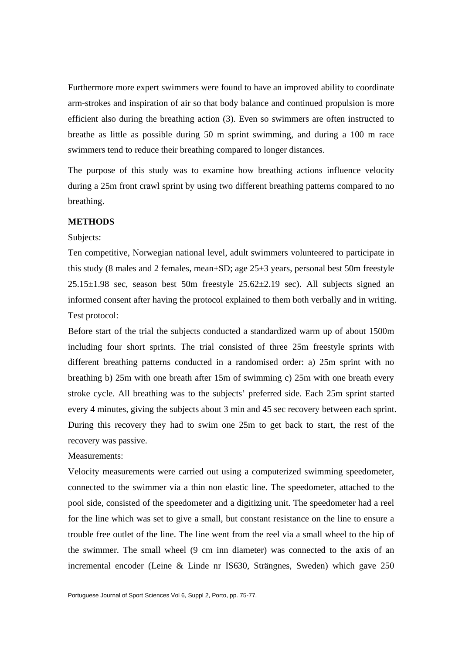Furthermore more expert swimmers were found to have an improved ability to coordinate arm-strokes and inspiration of air so that body balance and continued propulsion is more efficient also during the breathing action (3). Even so swimmers are often instructed to breathe as little as possible during 50 m sprint swimming, and during a 100 m race swimmers tend to reduce their breathing compared to longer distances.

The purpose of this study was to examine how breathing actions influence velocity during a 25m front crawl sprint by using two different breathing patterns compared to no breathing.

# **METHODS**

### Subjects:

Ten competitive, Norwegian national level, adult swimmers volunteered to participate in this study (8 males and 2 females, mean±SD; age 25±3 years, personal best 50m freestyle  $25.15\pm1.98$  sec, season best 50m freestyle  $25.62\pm2.19$  sec). All subjects signed an informed consent after having the protocol explained to them both verbally and in writing. Test protocol:

Before start of the trial the subjects conducted a standardized warm up of about 1500m including four short sprints. The trial consisted of three 25m freestyle sprints with different breathing patterns conducted in a randomised order: a) 25m sprint with no breathing b) 25m with one breath after 15m of swimming c) 25m with one breath every stroke cycle. All breathing was to the subjects' preferred side. Each 25m sprint started every 4 minutes, giving the subjects about 3 min and 45 sec recovery between each sprint. During this recovery they had to swim one 25m to get back to start, the rest of the recovery was passive.

### Measurements:

Velocity measurements were carried out using a computerized swimming speedometer, connected to the swimmer via a thin non elastic line. The speedometer, attached to the pool side, consisted of the speedometer and a digitizing unit. The speedometer had a reel for the line which was set to give a small, but constant resistance on the line to ensure a trouble free outlet of the line. The line went from the reel via a small wheel to the hip of the swimmer. The small wheel (9 cm inn diameter) was connected to the axis of an incremental encoder (Leine & Linde nr IS630, Strängnes, Sweden) which gave 250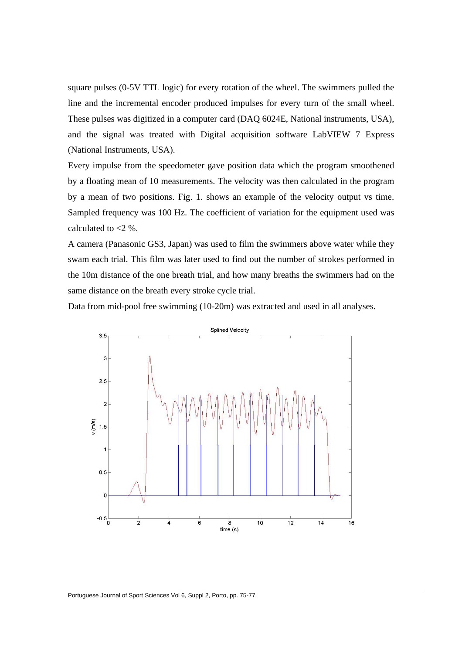square pulses (0-5V TTL logic) for every rotation of the wheel. The swimmers pulled the line and the incremental encoder produced impulses for every turn of the small wheel. These pulses was digitized in a computer card (DAQ 6024E, National instruments, USA), and the signal was treated with Digital acquisition software LabVIEW 7 Express (National Instruments, USA).

Every impulse from the speedometer gave position data which the program smoothened by a floating mean of 10 measurements. The velocity was then calculated in the program by a mean of two positions. Fig. 1. shows an example of the velocity output vs time. Sampled frequency was 100 Hz. The coefficient of variation for the equipment used was calculated to  $<$ 2 %.

A camera (Panasonic GS3, Japan) was used to film the swimmers above water while they swam each trial. This film was later used to find out the number of strokes performed in the 10m distance of the one breath trial, and how many breaths the swimmers had on the same distance on the breath every stroke cycle trial.

Data from mid-pool free swimming (10-20m) was extracted and used in all analyses.

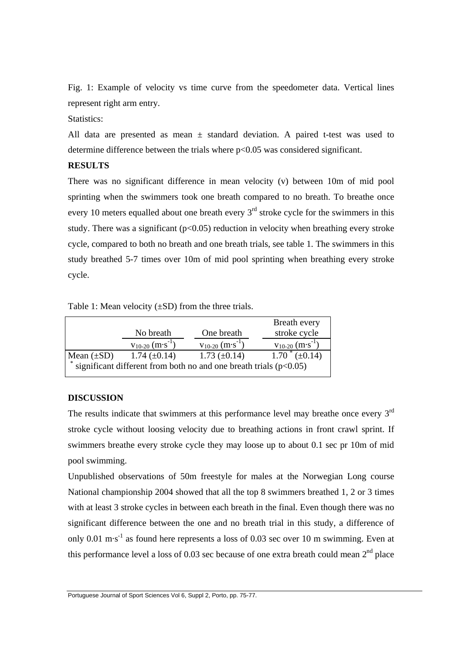Fig. 1: Example of velocity vs time curve from the speedometer data. Vertical lines represent right arm entry.

# Statistics:

All data are presented as mean  $\pm$  standard deviation. A paired t-test was used to determine difference between the trials where p<0.05 was considered significant.

# **RESULTS**

There was no significant difference in mean velocity (v) between 10m of mid pool sprinting when the swimmers took one breath compared to no breath. To breathe once every 10 meters equalled about one breath every  $3<sup>rd</sup>$  stroke cycle for the swimmers in this study. There was a significant ( $p<0.05$ ) reduction in velocity when breathing every stroke cycle, compared to both no breath and one breath trials, see table 1. The swimmers in this study breathed 5-7 times over 10m of mid pool sprinting when breathing every stroke cycle.

Table 1: Mean velocity  $(\pm SD)$  from the three trials.

|                                                                     |                          |                          | Breath every             |
|---------------------------------------------------------------------|--------------------------|--------------------------|--------------------------|
|                                                                     | No breath                | One breath               | stroke cycle             |
|                                                                     | $V_{10-20}$ $(m·s^{-1})$ | $V_{10-20}$ $(m·s^{-1})$ | $V_{10-20}$ $(m·s^{-1})$ |
| Mean $(\pm SD)$                                                     | 1.74 $(\pm 0.14)$        | 1.73 $(\pm 0.14)$        | $1.70*(\pm 0.14)$        |
| significant different from both no and one breath trials $(p<0.05)$ |                          |                          |                          |

# **DISCUSSION**

The results indicate that swimmers at this performance level may breathe once every  $3<sup>rd</sup>$ stroke cycle without loosing velocity due to breathing actions in front crawl sprint. If swimmers breathe every stroke cycle they may loose up to about 0.1 sec pr 10m of mid pool swimming.

Unpublished observations of 50m freestyle for males at the Norwegian Long course National championship 2004 showed that all the top 8 swimmers breathed 1, 2 or 3 times with at least 3 stroke cycles in between each breath in the final. Even though there was no significant difference between the one and no breath trial in this study, a difference of only 0.01 m·s<sup>-1</sup> as found here represents a loss of 0.03 sec over 10 m swimming. Even at this performance level a loss of 0.03 sec because of one extra breath could mean  $2<sup>nd</sup>$  place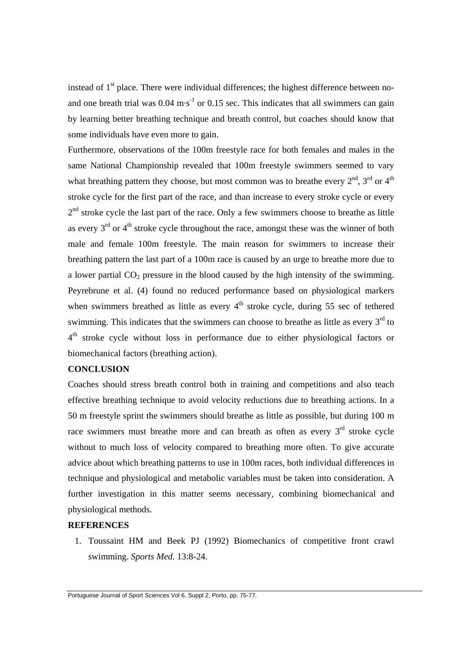instead of  $1<sup>st</sup>$  place. There were individual differences; the highest difference between noand one breath trial was  $0.04 \text{ m} \cdot \text{s}^{-1}$  or  $0.15 \text{ sec}$ . This indicates that all swimmers can gain by learning better breathing technique and breath control, but coaches should know that some individuals have even more to gain.

Furthermore, observations of the 100m freestyle race for both females and males in the same National Championship revealed that 100m freestyle swimmers seemed to vary what breathing pattern they choose, but most common was to breathe every  $2<sup>nd</sup>$ ,  $3<sup>rd</sup>$  or  $4<sup>th</sup>$ stroke cycle for the first part of the race, and than increase to every stroke cycle or every  $2<sup>nd</sup>$  stroke cycle the last part of the race. Only a few swimmers choose to breathe as little as every  $3<sup>rd</sup>$  or  $4<sup>th</sup>$  stroke cycle throughout the race, amongst these was the winner of both male and female 100m freestyle. The main reason for swimmers to increase their breathing pattern the last part of a 100m race is caused by an urge to breathe more due to a lower partial  $CO<sub>2</sub>$  pressure in the blood caused by the high intensity of the swimming. Peyrebrune et al. (4) found no reduced performance based on physiological markers when swimmers breathed as little as every  $4<sup>th</sup>$  stroke cycle, during 55 sec of tethered swimming. This indicates that the swimmers can choose to breathe as little as every  $3<sup>rd</sup>$  to 4<sup>th</sup> stroke cycle without loss in performance due to either physiological factors or biomechanical factors (breathing action).

## **CONCLUSION**

Coaches should stress breath control both in training and competitions and also teach effective breathing technique to avoid velocity reductions due to breathing actions. In a 50 m freestyle sprint the swimmers should breathe as little as possible, but during 100 m race swimmers must breathe more and can breath as often as every  $3<sup>rd</sup>$  stroke cycle without to much loss of velocity compared to breathing more often. To give accurate advice about which breathing patterns to use in 100m races, both individual differences in technique and physiological and metabolic variables must be taken into consideration. A further investigation in this matter seems necessary, combining biomechanical and physiological methods.

#### **REFERENCES**

 1. Toussaint HM and Beek PJ (1992) Biomechanics of competitive front crawl swimming. *Sports Med.* 13:8-24.